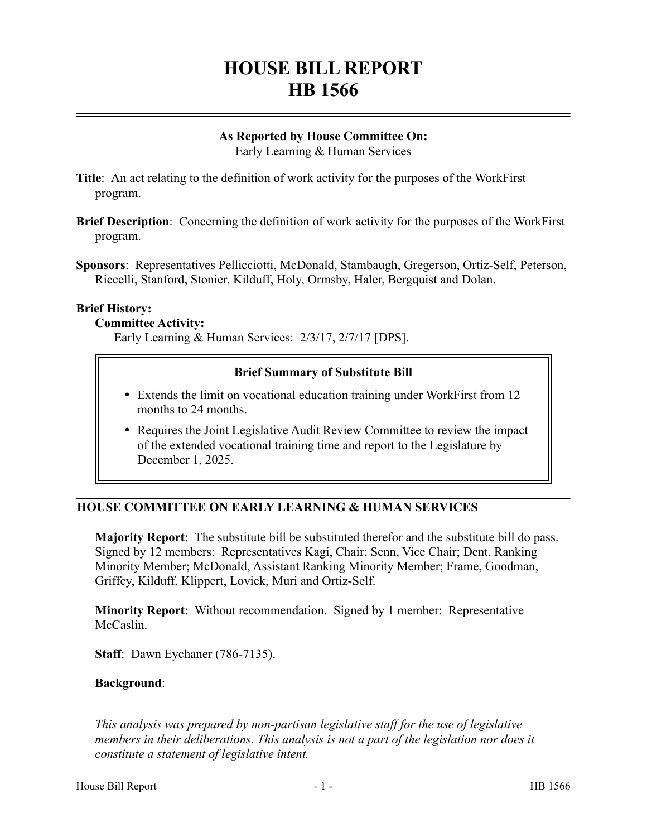# **HOUSE BILL REPORT HB 1566**

# **As Reported by House Committee On:**

Early Learning & Human Services

- **Title**: An act relating to the definition of work activity for the purposes of the WorkFirst program.
- **Brief Description**: Concerning the definition of work activity for the purposes of the WorkFirst program.
- **Sponsors**: Representatives Pellicciotti, McDonald, Stambaugh, Gregerson, Ortiz-Self, Peterson, Riccelli, Stanford, Stonier, Kilduff, Holy, Ormsby, Haler, Bergquist and Dolan.

#### **Brief History:**

#### **Committee Activity:**

Early Learning & Human Services: 2/3/17, 2/7/17 [DPS].

# **Brief Summary of Substitute Bill**

- Extends the limit on vocational education training under WorkFirst from 12 months to 24 months.
- Requires the Joint Legislative Audit Review Committee to review the impact of the extended vocational training time and report to the Legislature by December 1, 2025.

# **HOUSE COMMITTEE ON EARLY LEARNING & HUMAN SERVICES**

**Majority Report**: The substitute bill be substituted therefor and the substitute bill do pass. Signed by 12 members: Representatives Kagi, Chair; Senn, Vice Chair; Dent, Ranking Minority Member; McDonald, Assistant Ranking Minority Member; Frame, Goodman, Griffey, Kilduff, Klippert, Lovick, Muri and Ortiz-Self.

**Minority Report**: Without recommendation. Signed by 1 member: Representative McCaslin.

**Staff**: Dawn Eychaner (786-7135).

#### **Background**:

––––––––––––––––––––––

*This analysis was prepared by non-partisan legislative staff for the use of legislative members in their deliberations. This analysis is not a part of the legislation nor does it constitute a statement of legislative intent.*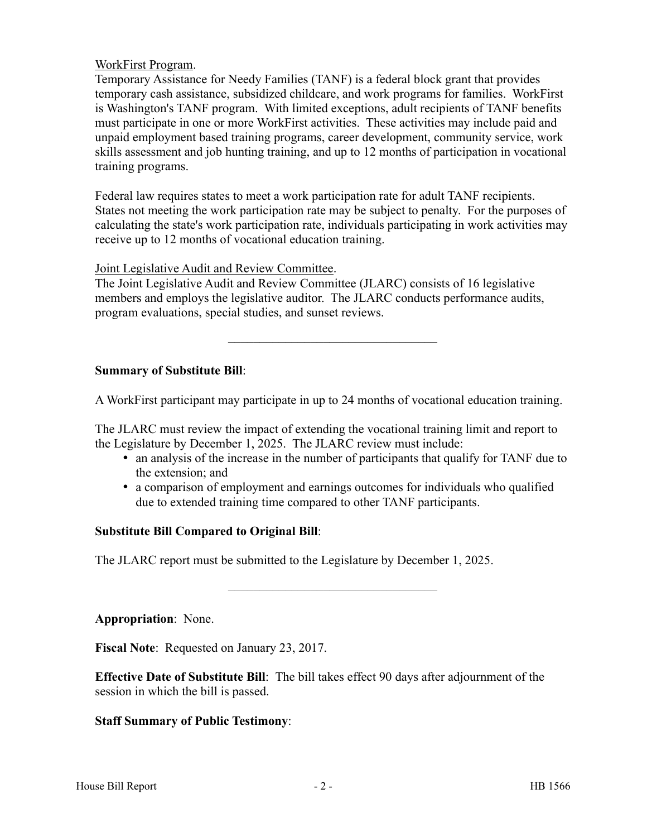### WorkFirst Program.

Temporary Assistance for Needy Families (TANF) is a federal block grant that provides temporary cash assistance, subsidized childcare, and work programs for families. WorkFirst is Washington's TANF program. With limited exceptions, adult recipients of TANF benefits must participate in one or more WorkFirst activities. These activities may include paid and unpaid employment based training programs, career development, community service, work skills assessment and job hunting training, and up to 12 months of participation in vocational training programs.

Federal law requires states to meet a work participation rate for adult TANF recipients. States not meeting the work participation rate may be subject to penalty. For the purposes of calculating the state's work participation rate, individuals participating in work activities may receive up to 12 months of vocational education training.

Joint Legislative Audit and Review Committee.

The Joint Legislative Audit and Review Committee (JLARC) consists of 16 legislative members and employs the legislative auditor. The JLARC conducts performance audits, program evaluations, special studies, and sunset reviews.

#### **Summary of Substitute Bill**:

A WorkFirst participant may participate in up to 24 months of vocational education training.

–––––––––––––––––––––––––––––––––

The JLARC must review the impact of extending the vocational training limit and report to the Legislature by December 1, 2025. The JLARC review must include:

- an analysis of the increase in the number of participants that qualify for TANF due to the extension; and
- a comparison of employment and earnings outcomes for individuals who qualified due to extended training time compared to other TANF participants.

–––––––––––––––––––––––––––––––––

# **Substitute Bill Compared to Original Bill**:

The JLARC report must be submitted to the Legislature by December 1, 2025.

**Appropriation**: None.

**Fiscal Note**: Requested on January 23, 2017.

**Effective Date of Substitute Bill**: The bill takes effect 90 days after adjournment of the session in which the bill is passed.

# **Staff Summary of Public Testimony**: